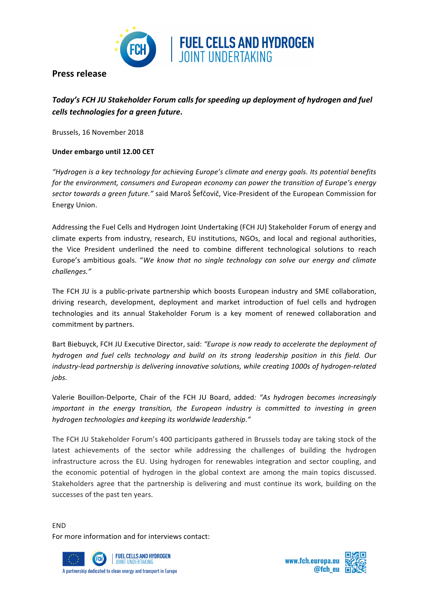

**Press release** 

## Today's FCH JU Stakeholder Forum calls for speeding up deployment of hydrogen and fuel *cells technologies for a green future***.**

Brussels, 16 November 2018

## **Under embargo until 12.00 CET**

*"Hydrogen is a key technology for achieving Europe's climate and energy goals. Its potential benefits for* the environment, consumers and European economy can power the transition of Europe's energy sector towards a green future." said Maroš Šefčovič, Vice-President of the European Commission for Energy Union. 

Addressing the Fuel Cells and Hydrogen Joint Undertaking (FCH JU) Stakeholder Forum of energy and climate experts from industry, research, EU institutions, NGOs, and local and regional authorities, the Vice President underlined the need to combine different technological solutions to reach Europe's ambitious goals. "We know that no single technology can solve our energy and climate *challenges."*

The FCH JU is a public-private partnership which boosts European industry and SME collaboration, driving research, development, deployment and market introduction of fuel cells and hydrogen technologies and its annual Stakeholder Forum is a key moment of renewed collaboration and commitment by partners.

Bart Biebuyck, FCH JU Executive Director, said: "Europe is now ready to accelerate the deployment of *hydrogen and fuel cells technology and build on its strong leadership position in this field. Our industry-lead partnership is delivering innovative solutions, while creating 1000s of hydrogen-related jobs.*

Valerie Bouillon-Delporte, Chair of the FCH JU Board, added: *"As hydrogen becomes increasingly important in the energy transition, the European industry is committed to investing in green* hydrogen technologies and keeping its worldwide leadership."

The FCH JU Stakeholder Forum's 400 participants gathered in Brussels today are taking stock of the latest achievements of the sector while addressing the challenges of building the hydrogen infrastructure across the EU. Using hydrogen for renewables integration and sector coupling, and the economic potential of hydrogen in the global context are among the main topics discussed. Stakeholders agree that the partnership is delivering and must continue its work, building on the successes of the past ten years.

END For more information and for interviews contact: